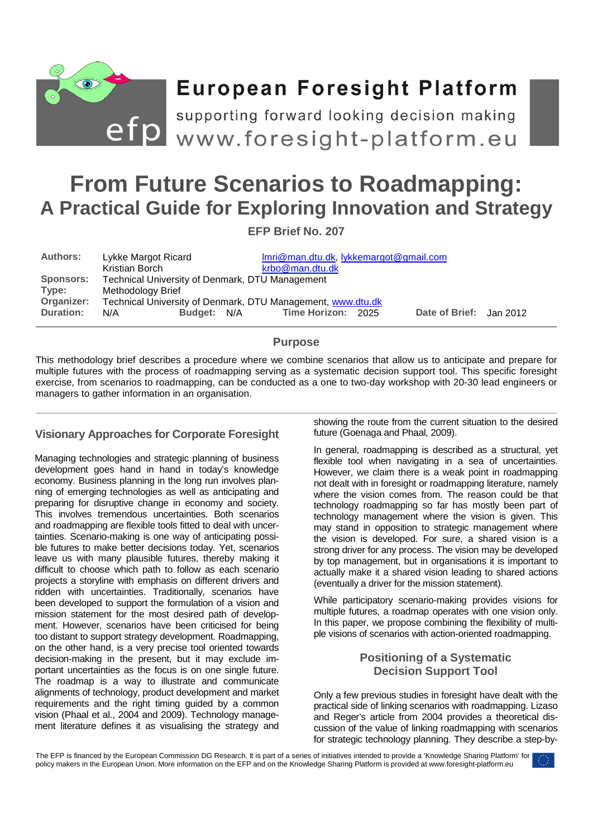

# **European Foresight Platform**

efp supporting forward looking decision making<br>
www.foresight-platform.eu

# **From Future Scenarios to Roadmapping: A Practical Guide for Exploring Innovation and Strategy**

**EFP Brief No. 207** 

| <b>Authors:</b>  | Lykke Margot Ricard                                         | Imri@man.dtu.dk, lykkemargot@gmail.com |                         |
|------------------|-------------------------------------------------------------|----------------------------------------|-------------------------|
|                  | Kristian Borch                                              | krbo@man.dtu.dk                        |                         |
| <b>Sponsors:</b> | Technical University of Denmark, DTU Management             |                                        |                         |
| Type:            | Methodology Brief                                           |                                        |                         |
| Organizer:       | Technical University of Denmark, DTU Management, www.dtu.dk |                                        |                         |
| <b>Duration:</b> | <b>Budget:</b><br>N/A                                       | Time Horizon: 2025<br>N/A              | Date of Brief: Jan 2012 |

# **Purpose**

This methodology brief describes a procedure where we combine scenarios that allow us to anticipate and prepare for multiple futures with the process of roadmapping serving as a systematic decision support tool. This specific foresight exercise, from scenarios to roadmapping, can be conducted as a one to two-day workshop with 20-30 lead engineers or managers to gather information in an organisation.

# **Visionary Approaches for Corporate Foresight**

Managing technologies and strategic planning of business development goes hand in hand in today's knowledge economy. Business planning in the long run involves planning of emerging technologies as well as anticipating and preparing for disruptive change in economy and society. This involves tremendous uncertainties. Both scenarios and roadmapping are flexible tools fitted to deal with uncertainties. Scenario-making is one way of anticipating possible futures to make better decisions today. Yet, scenarios leave us with many plausible futures, thereby making it difficult to choose which path to follow as each scenario projects a storyline with emphasis on different drivers and ridden with uncertainties. Traditionally, scenarios have been developed to support the formulation of a vision and mission statement for the most desired path of development. However, scenarios have been criticised for being too distant to support strategy development. Roadmapping, on the other hand, is a very precise tool oriented towards decision-making in the present, but it may exclude important uncertainties as the focus is on one single future. The roadmap is a way to illustrate and communicate alignments of technology, product development and market requirements and the right timing guided by a common vision (Phaal et al., 2004 and 2009). Technology management literature defines it as visualising the strategy and

showing the route from the current situation to the desired future (Goenaga and Phaal, 2009).

In general, roadmapping is described as a structural, yet flexible tool when navigating in a sea of uncertainties. However, we claim there is a weak point in roadmapping not dealt with in foresight or roadmapping literature, namely where the vision comes from. The reason could be that technology roadmapping so far has mostly been part of technology management where the vision is given. This may stand in opposition to strategic management where the vision is developed. For sure, a shared vision is a strong driver for any process. The vision may be developed by top management, but in organisations it is important to actually make it a shared vision leading to shared actions (eventually a driver for the mission statement).

While participatory scenario-making provides visions for multiple futures, a roadmap operates with one vision only. In this paper, we propose combining the flexibility of multiple visions of scenarios with action-oriented roadmapping.

# **Positioning of a Systematic Decision Support Tool**

Only a few previous studies in foresight have dealt with the practical side of linking scenarios with roadmapping. Lizaso and Reger's article from 2004 provides a theoretical discussion of the value of linking roadmapping with scenarios for strategic technology planning. They describe a step-by-

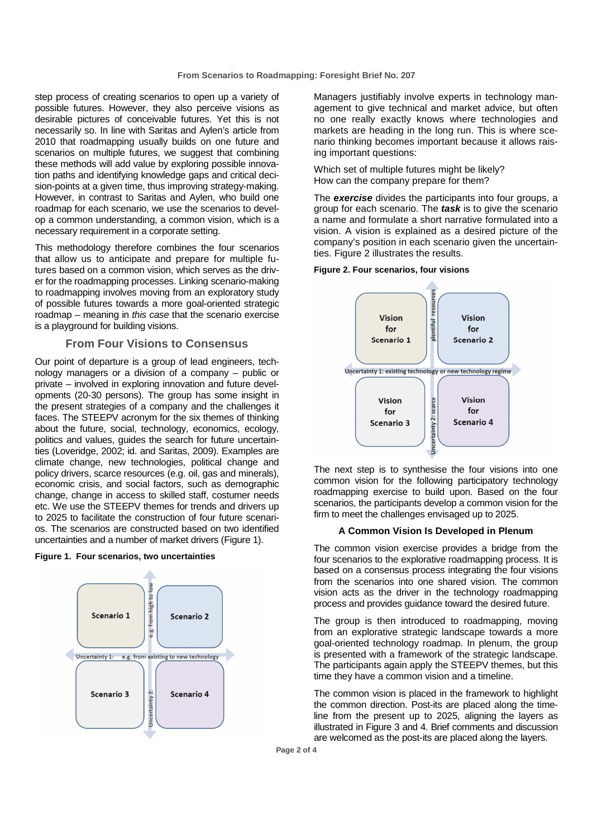step process of creating scenarios to open up a variety of possible futures. However, they also perceive visions as desirable pictures of conceivable futures. Yet this is not necessarily so. In line with Saritas and Aylen's article from 2010 that roadmapping usually builds on one future and scenarios on multiple futures, we suggest that combining these methods will add value by exploring possible innovation paths and identifying knowledge gaps and critical decision-points at a given time, thus improving strategy-making. However, in contrast to Saritas and Aylen, who build one roadmap for each scenario, we use the scenarios to develop a common understanding, a common vision, which is a necessary requirement in a corporate setting.

This methodology therefore combines the four scenarios that allow us to anticipate and prepare for multiple futures based on a common vision, which serves as the driver for the roadmapping processes. Linking scenario-making to roadmapping involves moving from an exploratory study of possible futures towards a more goal-oriented strategic roadmap – meaning in this case that the scenario exercise is a playground for building visions.

### **From Four Visions to Consensus**

Our point of departure is a group of lead engineers, technology managers or a division of a company – public or private – involved in exploring innovation and future developments (20-30 persons). The group has some insight in the present strategies of a company and the challenges it faces. The STEEPV acronym for the six themes of thinking about the future, social, technology, economics, ecology, politics and values, guides the search for future uncertainties (Loveridge, 2002; id. and Saritas, 2009). Examples are climate change, new technologies, political change and policy drivers, scarce resources (e.g. oil, gas and minerals), economic crisis, and social factors, such as demographic change, change in access to skilled staff, costumer needs etc. We use the STEEPV themes for trends and drivers up to 2025 to facilitate the construction of four future scenarios. The scenarios are constructed based on two identified uncertainties and a number of market drivers (Figure 1).

#### **Figure 1. Four scenarios, two uncertainties**



Managers justifiably involve experts in technology management to give technical and market advice, but often no one really exactly knows where technologies and markets are heading in the long run. This is where scenario thinking becomes important because it allows raising important questions:

Which set of multiple futures might be likely? How can the company prepare for them?

The **exercise** divides the participants into four groups, a group for each scenario. The **task** is to give the scenario a name and formulate a short narrative formulated into a vision. A vision is explained as a desired picture of the company's position in each scenario given the uncertainties. Figure 2 illustrates the results.

#### **Figure 2. Four scenarios, four visions**



The next step is to synthesise the four visions into one common vision for the following participatory technology roadmapping exercise to build upon. Based on the four scenarios, the participants develop a common vision for the firm to meet the challenges envisaged up to 2025.

#### **A Common Vision Is Developed in Plenum**

The common vision exercise provides a bridge from the four scenarios to the explorative roadmapping process. It is based on a consensus process integrating the four visions from the scenarios into one shared vision. The common vision acts as the driver in the technology roadmapping process and provides guidance toward the desired future.

The group is then introduced to roadmapping, moving from an explorative strategic landscape towards a more goal-oriented technology roadmap. In plenum, the group is presented with a framework of the strategic landscape. The participants again apply the STEEPV themes, but this time they have a common vision and a timeline.

The common vision is placed in the framework to highlight the common direction. Post-its are placed along the timeline from the present up to 2025, aligning the layers as illustrated in Figure 3 and 4. Brief comments and discussion are welcomed as the post-its are placed along the layers.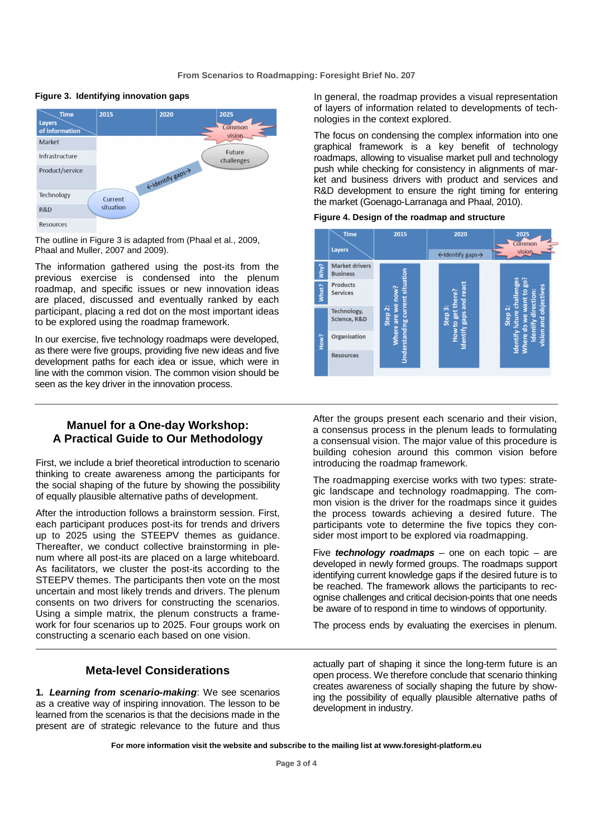

#### **Figure 3. Identifying innovation gaps**

The outline in Figure 3 is adapted from (Phaal et al., 2009, Phaal and Muller, 2007 and 2009).

The information gathered using the post-its from the previous exercise is condensed into the plenum roadmap, and specific issues or new innovation ideas are placed, discussed and eventually ranked by each participant, placing a red dot on the most important ideas to be explored using the roadmap framework.

In our exercise, five technology roadmaps were developed, as there were five groups, providing five new ideas and five development paths for each idea or issue, which were in line with the common vision. The common vision should be seen as the key driver in the innovation process.

## **Manuel for a One-day Workshop: A Practical Guide to Our Methodology**

First, we include a brief theoretical introduction to scenario thinking to create awareness among the participants for the social shaping of the future by showing the possibility of equally plausible alternative paths of development.

After the introduction follows a brainstorm session. First, each participant produces post-its for trends and drivers up to 2025 using the STEEPV themes as guidance. Thereafter, we conduct collective brainstorming in plenum where all post-its are placed on a large whiteboard. As facilitators, we cluster the post-its according to the STEEPV themes. The participants then vote on the most uncertain and most likely trends and drivers. The plenum consents on two drivers for constructing the scenarios. Using a simple matrix, the plenum constructs a framework for four scenarios up to 2025. Four groups work on constructing a scenario each based on one vision.

## **Meta-level Considerations**

**1. Learning from scenario-making**: We see scenarios as a creative way of inspiring innovation. The lesson to be learned from the scenarios is that the decisions made in the present are of strategic relevance to the future and thus

In general, the roadmap provides a visual representation of layers of information related to developments of technologies in the context explored.

The focus on condensing the complex information into one graphical framework is a key benefit of technology roadmaps, allowing to visualise market pull and technology push while checking for consistency in alignments of market and business drivers with product and services and R&D development to ensure the right timing for entering the market (Goenago-Larranaga and Phaal, 2010).

#### **Figure 4. Design of the roadmap and structure**



After the groups present each scenario and their vision, a consensus process in the plenum leads to formulating a consensual vision. The major value of this procedure is building cohesion around this common vision before introducing the roadmap framework.

The roadmapping exercise works with two types: strategic landscape and technology roadmapping. The common vision is the driver for the roadmaps since it guides the process towards achieving a desired future. The participants vote to determine the five topics they consider most import to be explored via roadmapping.

Five **technology roadmaps** – one on each topic – are developed in newly formed groups. The roadmaps support identifying current knowledge gaps if the desired future is to be reached. The framework allows the participants to recognise challenges and critical decision-points that one needs be aware of to respond in time to windows of opportunity.

The process ends by evaluating the exercises in plenum.

actually part of shaping it since the long-term future is an open process. We therefore conclude that scenario thinking creates awareness of socially shaping the future by showing the possibility of equally plausible alternative paths of development in industry.

**For more information visit the website and subscribe to the mailing list at www.foresight-platform.eu**